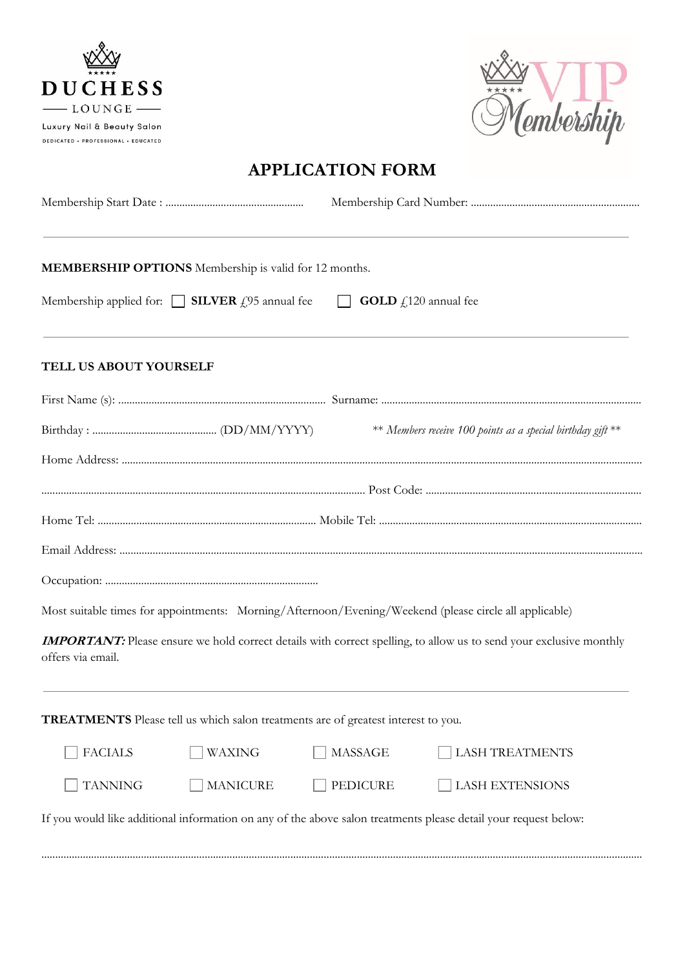



## **APPLICATION FORM**

|                        | MEMBERSHIP OPTIONS Membership is valid for 12 months.                                                  |                                |                                                                                                                           |  |
|------------------------|--------------------------------------------------------------------------------------------------------|--------------------------------|---------------------------------------------------------------------------------------------------------------------------|--|
|                        | Membership applied for: $\Box$ <b>SILVER</b> £95 annual fee                                            | <b>GOLD</b> $f$ 120 annual fee |                                                                                                                           |  |
| TELL US ABOUT YOURSELF |                                                                                                        |                                |                                                                                                                           |  |
|                        |                                                                                                        |                                |                                                                                                                           |  |
|                        |                                                                                                        |                                | ** Members receive 100 points as a special birthday gift **                                                               |  |
|                        |                                                                                                        |                                |                                                                                                                           |  |
|                        |                                                                                                        |                                |                                                                                                                           |  |
|                        |                                                                                                        |                                |                                                                                                                           |  |
|                        |                                                                                                        |                                |                                                                                                                           |  |
|                        |                                                                                                        |                                |                                                                                                                           |  |
|                        | Most suitable times for appointments: Morning/Afternoon/Evening/Weekend (please circle all applicable) |                                |                                                                                                                           |  |
| offers via email.      |                                                                                                        |                                | <b>IMPORTANT:</b> Please ensure we hold correct details with correct spelling, to allow us to send your exclusive monthly |  |
|                        | TREATMENTS Please tell us which salon treatments are of greatest interest to you.                      |                                |                                                                                                                           |  |
| <b>FACIALS</b>         | WAXING                                                                                                 | <b>MASSAGE</b>                 | <b>LASH TREATMENTS</b>                                                                                                    |  |
| <b>TANNING</b>         | <b>MANICURE</b>                                                                                        | <b>PEDICURE</b>                | <b>LASH EXTENSIONS</b>                                                                                                    |  |
|                        |                                                                                                        |                                | If you would like additional information on any of the above salon treatments please detail your request below:           |  |

.........................................................................................................................................................................................................................